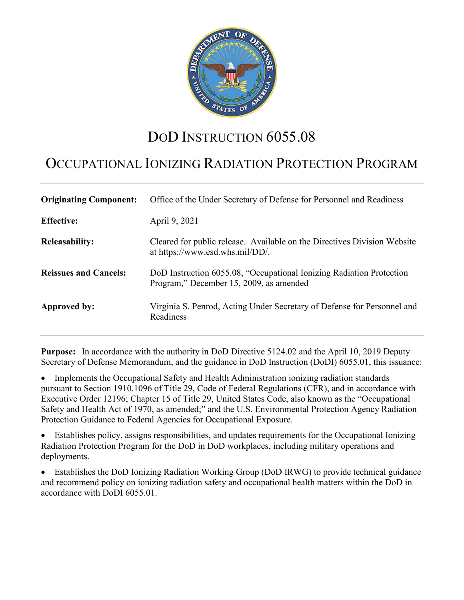

# DOD INSTRUCTION 6055.08

# OCCUPATIONAL IONIZING RADIATION PROTECTION PROGRAM

| <b>Originating Component:</b> | Office of the Under Secretary of Defense for Personnel and Readiness                                            |
|-------------------------------|-----------------------------------------------------------------------------------------------------------------|
| <b>Effective:</b>             | April 9, 2021                                                                                                   |
| <b>Releasability:</b>         | Cleared for public release. Available on the Directives Division Website<br>at https://www.esd.whs.mil/DD/.     |
| <b>Reissues and Cancels:</b>  | DoD Instruction 6055.08, "Occupational Ionizing Radiation Protection<br>Program," December 15, 2009, as amended |
| <b>Approved by:</b>           | Virginia S. Penrod, Acting Under Secretary of Defense for Personnel and<br>Readiness                            |

**Purpose:** In accordance with the authority in DoD Directive 5124.02 and the April 10, 2019 Deputy Secretary of Defense Memorandum, and the guidance in DoD Instruction (DoDI) 6055.01, this issuance:

• Implements the Occupational Safety and Health Administration ionizing radiation standards pursuant to Section 1910.1096 of Title 29, Code of Federal Regulations (CFR), and in accordance with Executive Order 12196; Chapter 15 of Title 29, United States Code, also known as the "Occupational Safety and Health Act of 1970, as amended;" and the U.S. Environmental Protection Agency Radiation Protection Guidance to Federal Agencies for Occupational Exposure.

• Establishes policy, assigns responsibilities, and updates requirements for the Occupational Ionizing Radiation Protection Program for the DoD in DoD workplaces, including military operations and deployments.

• Establishes the DoD Ionizing Radiation Working Group (DoD IRWG) to provide technical guidance and recommend policy on ionizing radiation safety and occupational health matters within the DoD in accordance with DoDI 6055.01.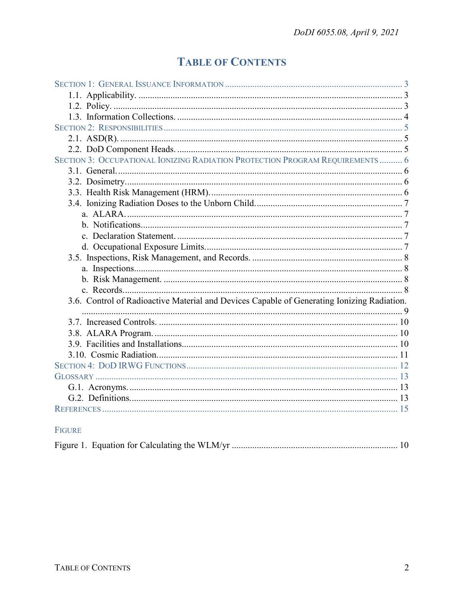# **TABLE OF CONTENTS**

| SECTION 3: OCCUPATIONAL IONIZING RADIATION PROTECTION PROGRAM REQUIREMENTS  6              |  |
|--------------------------------------------------------------------------------------------|--|
|                                                                                            |  |
|                                                                                            |  |
|                                                                                            |  |
|                                                                                            |  |
|                                                                                            |  |
|                                                                                            |  |
|                                                                                            |  |
|                                                                                            |  |
|                                                                                            |  |
|                                                                                            |  |
|                                                                                            |  |
|                                                                                            |  |
| 3.6. Control of Radioactive Material and Devices Capable of Generating Ionizing Radiation. |  |
|                                                                                            |  |
|                                                                                            |  |
|                                                                                            |  |
|                                                                                            |  |
|                                                                                            |  |
|                                                                                            |  |
|                                                                                            |  |
|                                                                                            |  |
|                                                                                            |  |
|                                                                                            |  |
|                                                                                            |  |

# FIGURE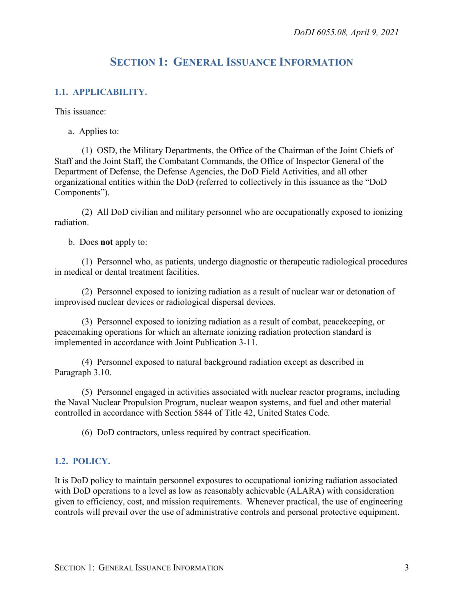# **SECTION 1: GENERAL ISSUANCE INFORMATION**

## <span id="page-2-1"></span><span id="page-2-0"></span>**1.1. APPLICABILITY.**

This issuance:

a. Applies to:

(1) OSD, the Military Departments, the Office of the Chairman of the Joint Chiefs of Staff and the Joint Staff, the Combatant Commands, the Office of Inspector General of the Department of Defense, the Defense Agencies, the DoD Field Activities, and all other organizational entities within the DoD (referred to collectively in this issuance as the "DoD Components").

(2) All DoD civilian and military personnel who are occupationally exposed to ionizing radiation.

b. Does **not** apply to:

(1) Personnel who, as patients, undergo diagnostic or therapeutic radiological procedures in medical or dental treatment facilities.

(2) Personnel exposed to ionizing radiation as a result of nuclear war or detonation of improvised nuclear devices or radiological dispersal devices.

(3) Personnel exposed to ionizing radiation as a result of combat, peacekeeping, or peacemaking operations for which an alternate ionizing radiation protection standard is implemented in accordance with Joint Publication 3-11.

(4) Personnel exposed to natural background radiation except as described in Paragraph 3.10.

(5) Personnel engaged in activities associated with nuclear reactor programs, including the Naval Nuclear Propulsion Program, nuclear weapon systems, and fuel and other material controlled in accordance with Section 5844 of Title 42, United States Code.

(6) DoD contractors, unless required by contract specification.

#### <span id="page-2-2"></span>**1.2. POLICY.**

It is DoD policy to maintain personnel exposures to occupational ionizing radiation associated with DoD operations to a level as low as reasonably achievable (ALARA) with consideration given to efficiency, cost, and mission requirements. Whenever practical, the use of engineering controls will prevail over the use of administrative controls and personal protective equipment.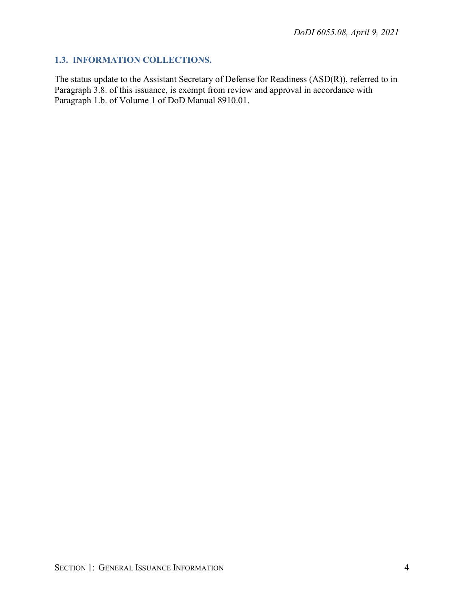# <span id="page-3-0"></span>**1.3. INFORMATION COLLECTIONS.**

The status update to the Assistant Secretary of Defense for Readiness (ASD(R)), referred to in Paragraph 3.8. of this issuance, is exempt from review and approval in accordance with Paragraph 1.b. of Volume 1 of DoD Manual 8910.01.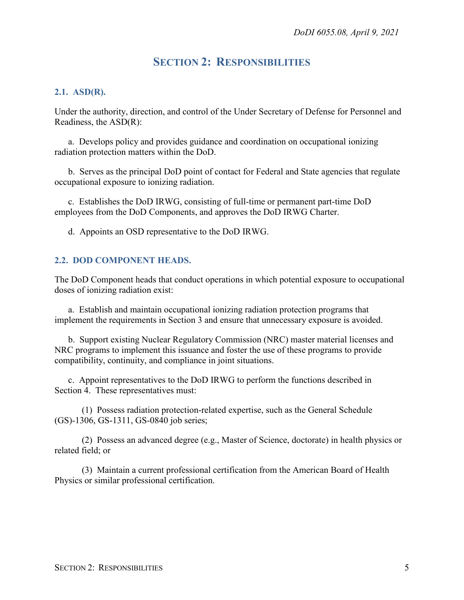# **SECTION 2: RESPONSIBILITIES**

#### <span id="page-4-1"></span><span id="page-4-0"></span>**2.1. ASD(R).**

Under the authority, direction, and control of the Under Secretary of Defense for Personnel and Readiness, the ASD(R):

a. Develops policy and provides guidance and coordination on occupational ionizing radiation protection matters within the DoD.

b. Serves as the principal DoD point of contact for Federal and State agencies that regulate occupational exposure to ionizing radiation.

c. Establishes the DoD IRWG, consisting of full-time or permanent part-time DoD employees from the DoD Components, and approves the DoD IRWG Charter.

d. Appoints an OSD representative to the DoD IRWG.

#### <span id="page-4-2"></span>**2.2. DOD COMPONENT HEADS.**

The DoD Component heads that conduct operations in which potential exposure to occupational doses of ionizing radiation exist:

a. Establish and maintain occupational ionizing radiation protection programs that implement the requirements in Section 3 and ensure that unnecessary exposure is avoided.

b. Support existing Nuclear Regulatory Commission (NRC) master material licenses and NRC programs to implement this issuance and foster the use of these programs to provide compatibility, continuity, and compliance in joint situations.

c. Appoint representatives to the DoD IRWG to perform the functions described in Section 4. These representatives must:

(1) Possess radiation protection-related expertise, such as the General Schedule (GS)-1306, GS-1311, GS-0840 job series;

(2) Possess an advanced degree (e.g., Master of Science, doctorate) in health physics or related field; or

(3) Maintain a current professional certification from the American Board of Health Physics or similar professional certification.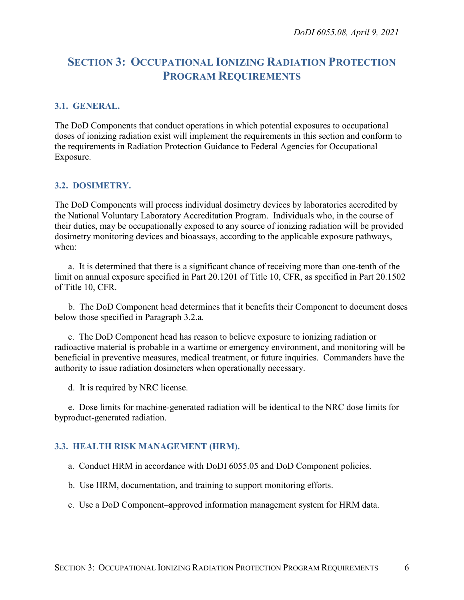# <span id="page-5-0"></span>**SECTION 3: OCCUPATIONAL IONIZING RADIATION PROTECTION PROGRAM REQUIREMENTS**

## <span id="page-5-1"></span>**3.1. GENERAL.**

The DoD Components that conduct operations in which potential exposures to occupational doses of ionizing radiation exist will implement the requirements in this section and conform to the requirements in Radiation Protection Guidance to Federal Agencies for Occupational Exposure.

#### <span id="page-5-2"></span>**3.2. DOSIMETRY.**

The DoD Components will process individual dosimetry devices by laboratories accredited by the National Voluntary Laboratory Accreditation Program. Individuals who, in the course of their duties, may be occupationally exposed to any source of ionizing radiation will be provided dosimetry monitoring devices and bioassays, according to the applicable exposure pathways, when:

a. It is determined that there is a significant chance of receiving more than one-tenth of the limit on annual exposure specified in Part 20.1201 of Title 10, CFR, as specified in Part 20.1502 of Title 10, CFR.

b. The DoD Component head determines that it benefits their Component to document doses below those specified in Paragraph 3.2.a.

c. The DoD Component head has reason to believe exposure to ionizing radiation or radioactive material is probable in a wartime or emergency environment, and monitoring will be beneficial in preventive measures, medical treatment, or future inquiries. Commanders have the authority to issue radiation dosimeters when operationally necessary.

d. It is required by NRC license.

e. Dose limits for machine-generated radiation will be identical to the NRC dose limits for byproduct-generated radiation.

#### <span id="page-5-3"></span>**3.3. HEALTH RISK MANAGEMENT (HRM).**

a. Conduct HRM in accordance with DoDI 6055.05 and DoD Component policies.

b. Use HRM, documentation, and training to support monitoring efforts.

c. Use a DoD Component–approved information management system for HRM data.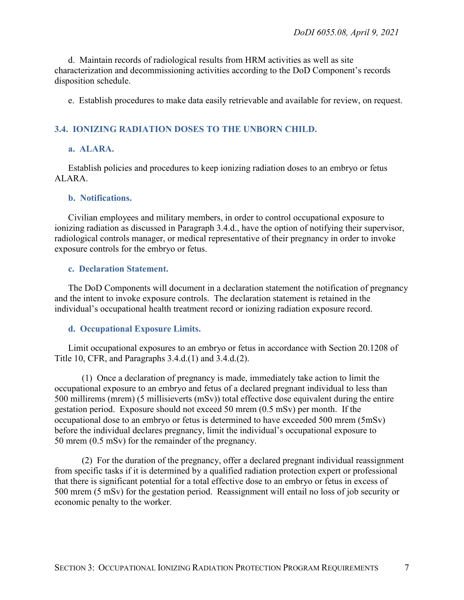d. Maintain records of radiological results from HRM activities as well as site characterization and decommissioning activities according to the DoD Component's records disposition schedule.

e. Establish procedures to make data easily retrievable and available for review, on request.

## <span id="page-6-0"></span>**3.4. IONIZING RADIATION DOSES TO THE UNBORN CHILD.**

## <span id="page-6-1"></span>**a. ALARA.**

Establish policies and procedures to keep ionizing radiation doses to an embryo or fetus ALARA.

#### <span id="page-6-2"></span>**b. Notifications.**

Civilian employees and military members, in order to control occupational exposure to ionizing radiation as discussed in Paragraph 3.4.d., have the option of notifying their supervisor, radiological controls manager, or medical representative of their pregnancy in order to invoke exposure controls for the embryo or fetus.

#### <span id="page-6-3"></span>**c. Declaration Statement.**

The DoD Components will document in a declaration statement the notification of pregnancy and the intent to invoke exposure controls. The declaration statement is retained in the individual's occupational health treatment record or ionizing radiation exposure record.

#### <span id="page-6-4"></span>**d. Occupational Exposure Limits.**

Limit occupational exposures to an embryo or fetus in accordance with Section 20.1208 of Title 10, CFR, and Paragraphs 3.4.d.(1) and 3.4.d.(2).

(1) Once a declaration of pregnancy is made, immediately take action to limit the occupational exposure to an embryo and fetus of a declared pregnant individual to less than 500 millirems (mrem) (5 millisieverts (mSv)) total effective dose equivalent during the entire gestation period. Exposure should not exceed 50 mrem (0.5 mSv) per month. If the occupational dose to an embryo or fetus is determined to have exceeded 500 mrem (5mSv) before the individual declares pregnancy, limit the individual's occupational exposure to 50 mrem (0.5 mSv) for the remainder of the pregnancy.

(2) For the duration of the pregnancy, offer a declared pregnant individual reassignment from specific tasks if it is determined by a qualified radiation protection expert or professional that there is significant potential for a total effective dose to an embryo or fetus in excess of 500 mrem (5 mSv) for the gestation period. Reassignment will entail no loss of job security or economic penalty to the worker.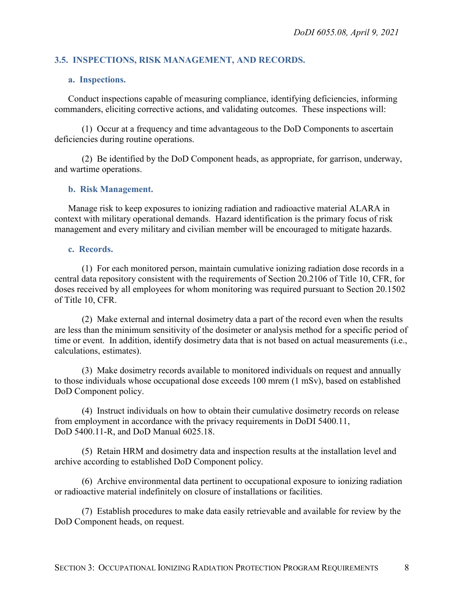## <span id="page-7-0"></span>**3.5. INSPECTIONS, RISK MANAGEMENT, AND RECORDS.**

#### <span id="page-7-1"></span>**a. Inspections.**

Conduct inspections capable of measuring compliance, identifying deficiencies, informing commanders, eliciting corrective actions, and validating outcomes. These inspections will:

(1) Occur at a frequency and time advantageous to the DoD Components to ascertain deficiencies during routine operations.

(2) Be identified by the DoD Component heads, as appropriate, for garrison, underway, and wartime operations.

#### <span id="page-7-2"></span>**b. Risk Management.**

Manage risk to keep exposures to ionizing radiation and radioactive material ALARA in context with military operational demands. Hazard identification is the primary focus of risk management and every military and civilian member will be encouraged to mitigate hazards.

#### <span id="page-7-3"></span>**c. Records.**

(1) For each monitored person, maintain cumulative ionizing radiation dose records in a central data repository consistent with the requirements of Section 20.2106 of Title 10, CFR, for doses received by all employees for whom monitoring was required pursuant to Section 20.1502 of Title 10, CFR.

(2) Make external and internal dosimetry data a part of the record even when the results are less than the minimum sensitivity of the dosimeter or analysis method for a specific period of time or event. In addition, identify dosimetry data that is not based on actual measurements (i.e., calculations, estimates).

(3) Make dosimetry records available to monitored individuals on request and annually to those individuals whose occupational dose exceeds 100 mrem (1 mSv), based on established DoD Component policy.

(4) Instruct individuals on how to obtain their cumulative dosimetry records on release from employment in accordance with the privacy requirements in DoDI 5400.11, DoD 5400.11-R, and DoD Manual 6025.18.

(5) Retain HRM and dosimetry data and inspection results at the installation level and archive according to established DoD Component policy.

(6) Archive environmental data pertinent to occupational exposure to ionizing radiation or radioactive material indefinitely on closure of installations or facilities.

(7) Establish procedures to make data easily retrievable and available for review by the DoD Component heads, on request.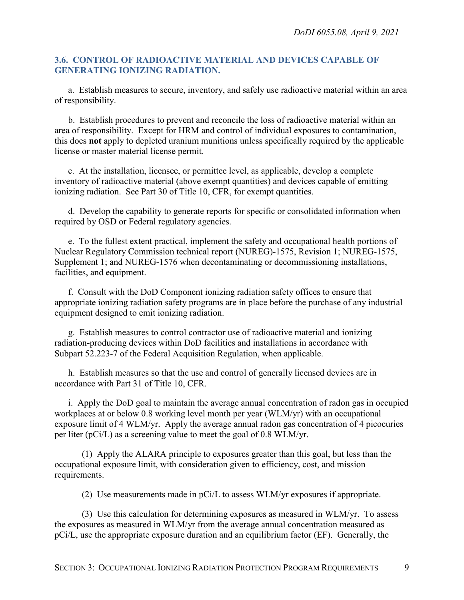## <span id="page-8-0"></span>**3.6. CONTROL OF RADIOACTIVE MATERIAL AND DEVICES CAPABLE OF GENERATING IONIZING RADIATION.**

a. Establish measures to secure, inventory, and safely use radioactive material within an area of responsibility.

b. Establish procedures to prevent and reconcile the loss of radioactive material within an area of responsibility. Except for HRM and control of individual exposures to contamination, this does **not** apply to depleted uranium munitions unless specifically required by the applicable license or master material license permit.

c. At the installation, licensee, or permittee level, as applicable, develop a complete inventory of radioactive material (above exempt quantities) and devices capable of emitting ionizing radiation. See Part 30 of Title 10, CFR, for exempt quantities.

d. Develop the capability to generate reports for specific or consolidated information when required by OSD or Federal regulatory agencies.

e. To the fullest extent practical, implement the safety and occupational health portions of Nuclear Regulatory Commission technical report (NUREG)-1575, Revision 1; NUREG-1575, Supplement 1; and NUREG-1576 when decontaminating or decommissioning installations, facilities, and equipment.

f. Consult with the DoD Component ionizing radiation safety offices to ensure that appropriate ionizing radiation safety programs are in place before the purchase of any industrial equipment designed to emit ionizing radiation.

g. Establish measures to control contractor use of radioactive material and ionizing radiation-producing devices within DoD facilities and installations in accordance with Subpart 52.223-7 of the Federal Acquisition Regulation, when applicable.

h. Establish measures so that the use and control of generally licensed devices are in accordance with Part 31 of Title 10, CFR.

i. Apply the DoD goal to maintain the average annual concentration of radon gas in occupied workplaces at or below 0.8 working level month per year (WLM/yr) with an occupational exposure limit of 4 WLM/yr. Apply the average annual radon gas concentration of 4 picocuries per liter (pCi/L) as a screening value to meet the goal of 0.8 WLM/yr.

(1) Apply the ALARA principle to exposures greater than this goal, but less than the occupational exposure limit, with consideration given to efficiency, cost, and mission requirements.

(2) Use measurements made in pCi/L to assess WLM/yr exposures if appropriate.

(3) Use this calculation for determining exposures as measured in WLM/yr. To assess the exposures as measured in WLM/yr from the average annual concentration measured as pCi/L, use the appropriate exposure duration and an equilibrium factor (EF). Generally, the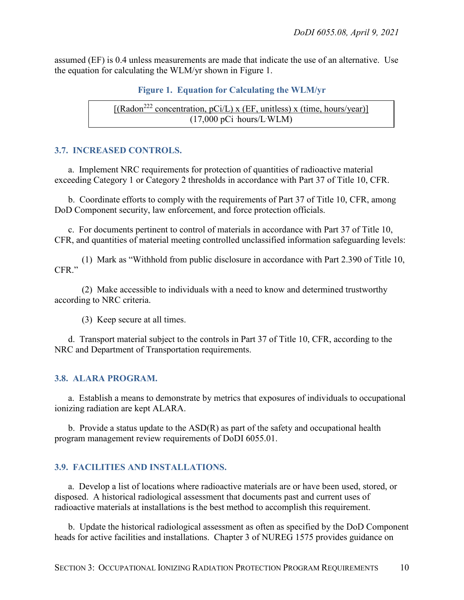assumed (EF) is 0.4 unless measurements are made that indicate the use of an alternative. Use the equation for calculating the WLM/yr shown in Figure 1.

```
Figure 1. Equation for Calculating the WLM/yr
```

```
[(\text{Radon}^{222} \text{ concentration}, \text{pCi/L}) \times (\text{EF}, \text{unitless}) \times (\text{time}, \text{hours/year})](17,000 \text{ pCi hours/L} \text{WLM})
```
# <span id="page-9-0"></span>**3.7. INCREASED CONTROLS.**

a. Implement NRC requirements for protection of quantities of radioactive material exceeding Category 1 or Category 2 thresholds in accordance with Part 37 of Title 10, CFR.

b. Coordinate efforts to comply with the requirements of Part 37 of Title 10, CFR, among DoD Component security, law enforcement, and force protection officials.

c. For documents pertinent to control of materials in accordance with Part 37 of Title 10, CFR, and quantities of material meeting controlled unclassified information safeguarding levels:

(1) Mark as "Withhold from public disclosure in accordance with Part 2.390 of Title 10, CFR."

(2) Make accessible to individuals with a need to know and determined trustworthy according to NRC criteria.

(3) Keep secure at all times.

d. Transport material subject to the controls in Part 37 of Title 10, CFR, according to the NRC and Department of Transportation requirements.

# <span id="page-9-1"></span>**3.8. ALARA PROGRAM.**

a. Establish a means to demonstrate by metrics that exposures of individuals to occupational ionizing radiation are kept ALARA.

b. Provide a status update to the ASD(R) as part of the safety and occupational health program management review requirements of DoDI 6055.01.

# <span id="page-9-2"></span>**3.9. FACILITIES AND INSTALLATIONS.**

a. Develop a list of locations where radioactive materials are or have been used, stored, or disposed. A historical radiological assessment that documents past and current uses of radioactive materials at installations is the best method to accomplish this requirement.

b. Update the historical radiological assessment as often as specified by the DoD Component heads for active facilities and installations. Chapter 3 of NUREG 1575 provides guidance on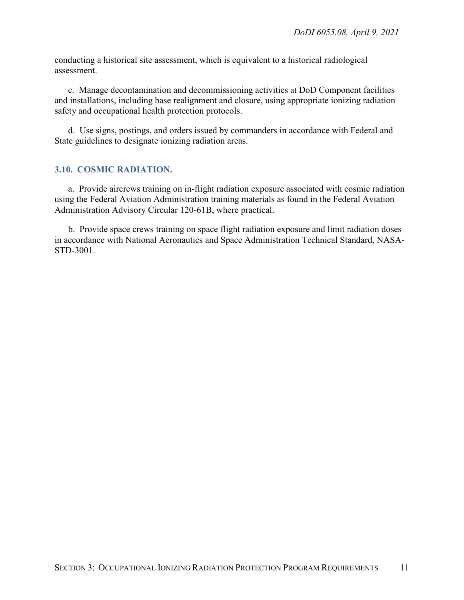conducting a historical site assessment, which is equivalent to a historical radiological assessment.

c. Manage decontamination and decommissioning activities at DoD Component facilities and installations, including base realignment and closure, using appropriate ionizing radiation safety and occupational health protection protocols.

d. Use signs, postings, and orders issued by commanders in accordance with Federal and State guidelines to designate ionizing radiation areas.

## <span id="page-10-0"></span>**3.10. COSMIC RADIATION.**

a. Provide aircrews training on in-flight radiation exposure associated with cosmic radiation using the Federal Aviation Administration training materials as found in the Federal Aviation Administration Advisory Circular 120-61B, where practical.

b. Provide space crews training on space flight radiation exposure and limit radiation doses in accordance with National Aeronautics and Space Administration Technical Standard, NASA-STD-3001.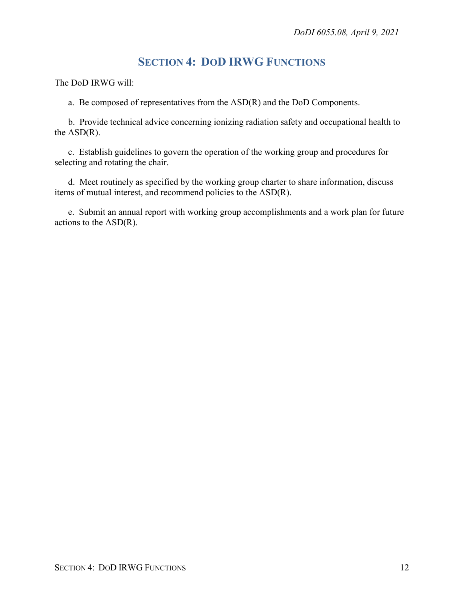# **SECTION 4: DOD IRWG FUNCTIONS**

<span id="page-11-0"></span>The DoD IRWG will:

a. Be composed of representatives from the ASD(R) and the DoD Components.

b. Provide technical advice concerning ionizing radiation safety and occupational health to the ASD(R).

c. Establish guidelines to govern the operation of the working group and procedures for selecting and rotating the chair.

d. Meet routinely as specified by the working group charter to share information, discuss items of mutual interest, and recommend policies to the ASD(R).

e. Submit an annual report with working group accomplishments and a work plan for future actions to the ASD(R).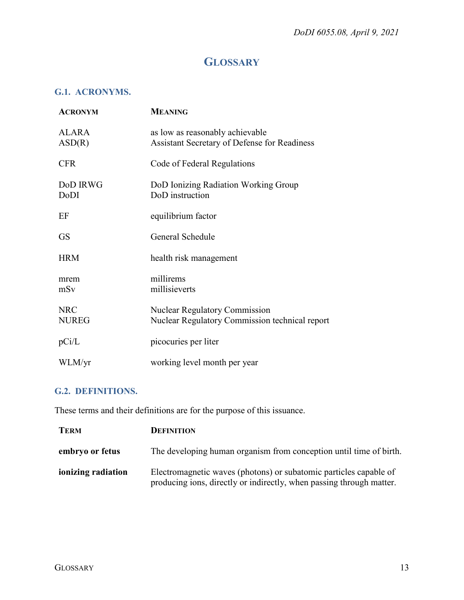# **GLOSSARY**

# <span id="page-12-1"></span><span id="page-12-0"></span>**G.1. ACRONYMS.**

| <b>ACRONYM</b>             | <b>MEANING</b>                                                                         |
|----------------------------|----------------------------------------------------------------------------------------|
| ALARA<br>ASD(R)            | as low as reasonably achievable<br>Assistant Secretary of Defense for Readiness        |
| <b>CFR</b>                 | Code of Federal Regulations                                                            |
| DoD IRWG<br>DoDI           | DoD Ionizing Radiation Working Group<br>DoD instruction                                |
| EF                         | equilibrium factor                                                                     |
| <b>GS</b>                  | General Schedule                                                                       |
| <b>HRM</b>                 | health risk management                                                                 |
| mrem<br>mSv                | millirems<br>millisieverts                                                             |
| <b>NRC</b><br><b>NUREG</b> | <b>Nuclear Regulatory Commission</b><br>Nuclear Regulatory Commission technical report |
| pCi/L                      | picocuries per liter                                                                   |
| WLM/yr                     | working level month per year                                                           |

# <span id="page-12-2"></span>**G.2. DEFINITIONS.**

These terms and their definitions are for the purpose of this issuance.

| <b>TERM</b>        | <b>DEFINITION</b>                                                                                                                         |
|--------------------|-------------------------------------------------------------------------------------------------------------------------------------------|
| embryo or fetus    | The developing human organism from conception until time of birth.                                                                        |
| ionizing radiation | Electromagnetic waves (photons) or subatomic particles capable of<br>producing ions, directly or indirectly, when passing through matter. |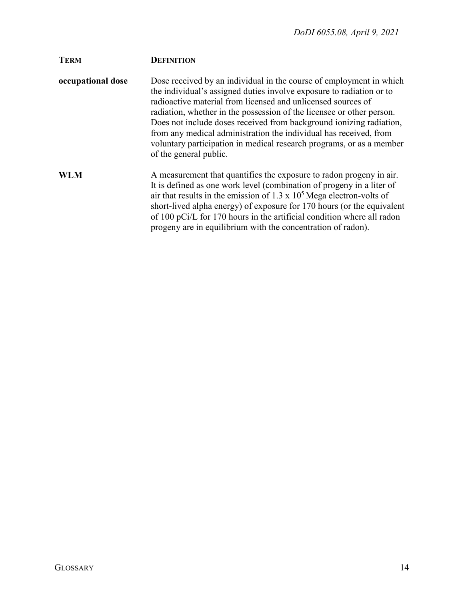| <b>TERM</b>       | <b>DEFINITION</b>                                                                                                                                                                                                                                                                                                                                                                                                                                                                                                                  |
|-------------------|------------------------------------------------------------------------------------------------------------------------------------------------------------------------------------------------------------------------------------------------------------------------------------------------------------------------------------------------------------------------------------------------------------------------------------------------------------------------------------------------------------------------------------|
| occupational dose | Dose received by an individual in the course of employment in which<br>the individual's assigned duties involve exposure to radiation or to<br>radioactive material from licensed and unlicensed sources of<br>radiation, whether in the possession of the licensee or other person.<br>Does not include doses received from background ionizing radiation,<br>from any medical administration the individual has received, from<br>voluntary participation in medical research programs, or as a member<br>of the general public. |
| WLM               | A measurement that quantifies the exposure to radon progeny in air.<br>It is defined as one work level (combination of progeny in a liter of<br>air that results in the emission of 1.3 x $105$ Mega electron-volts of<br>short-lived alpha energy) of exposure for 170 hours (or the equivalent<br>of 100 pCi/L for 170 hours in the artificial condition where all radon<br>progeny are in equilibrium with the concentration of radon).                                                                                         |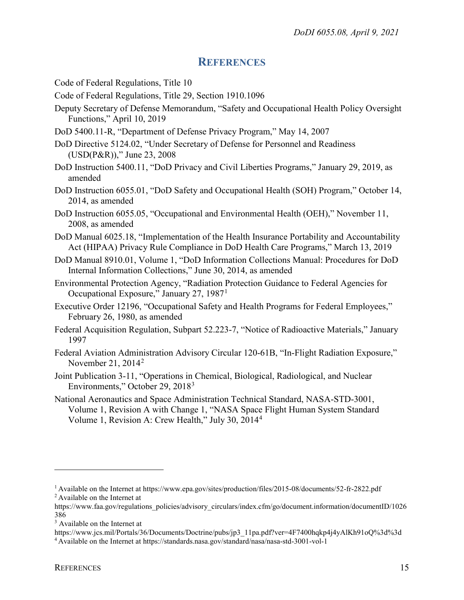# **REFERENCES**

- <span id="page-14-0"></span>Code of Federal Regulations, Title 10
- Code of Federal Regulations, Title 29, Section 1910.1096
- Deputy Secretary of Defense Memorandum, "Safety and Occupational Health Policy Oversight Functions," April 10, 2019
- DoD 5400.11-R, "Department of Defense Privacy Program," May 14, 2007
- DoD Directive 5124.02, "Under Secretary of Defense for Personnel and Readiness (USD(P&R))," June 23, 2008
- DoD Instruction 5400.11, "DoD Privacy and Civil Liberties Programs," January 29, 2019, as amended
- DoD Instruction 6055.01, "DoD Safety and Occupational Health (SOH) Program," October 14, 2014, as amended
- DoD Instruction 6055.05, "Occupational and Environmental Health (OEH)," November 11, 2008, as amended
- DoD Manual 6025.18, "Implementation of the Health Insurance Portability and Accountability Act (HIPAA) Privacy Rule Compliance in DoD Health Care Programs," March 13, 2019
- DoD Manual 8910.01, Volume 1, "DoD Information Collections Manual: Procedures for DoD Internal Information Collections," June 30, 2014, as amended
- Environmental Protection Agency, "Radiation Protection Guidance to Federal Agencies for Occupational Exposure," January 27, 1987[1](#page-14-1)
- Executive Order 12196, "Occupational Safety and Health Programs for Federal Employees," February 26, 1980, as amended
- Federal Acquisition Regulation, Subpart 52.223-7, "Notice of Radioactive Materials," January 1997
- Federal Aviation Administration Advisory Circular 120-61B, "In-Flight Radiation Exposure," November [2](#page-14-2)1,  $2014^2$
- Joint Publication 3-11, "Operations in Chemical, Biological, Radiological, and Nuclear Environments," October 29, 2018[3](#page-14-3)
- National Aeronautics and Space Administration Technical Standard, NASA-STD-3001, Volume 1, Revision A with Change 1, "NASA Space Flight Human System Standard Volume 1, Revision A: Crew Health," July 30, 201[4](#page-14-4)<sup>4</sup>

<span id="page-14-2"></span><span id="page-14-1"></span><sup>1</sup> Available on the Internet at https://www.epa.gov/sites/production/files/2015-08/documents/52-fr-2822.pdf 2 Available on the Internet at

https://www.faa.gov/regulations\_policies/advisory\_circulars/index.cfm/go/document.information/documentID/1026 386

<span id="page-14-3"></span><sup>&</sup>lt;sup>3</sup> Available on the Internet at

https://www.jcs.mil/Portals/36/Documents/Doctrine/pubs/jp3\_11pa.pdf?ver=4F7400hqkp4j4yAlKh91oQ%3d%3d

<span id="page-14-4"></span><sup>4</sup> Available on the Internet at https://standards.nasa.gov/standard/nasa/nasa-std-3001-vol-1